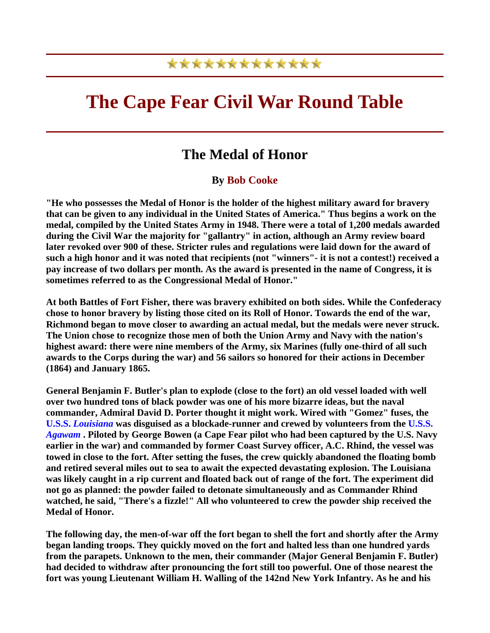## \*\*\*\*\*\*\*\*\*\*\*\*\*

## **The Cape Fear Civil War Round Table**

## **The Medal of Honor**

## **By Bob Cooke**

**"He who possesses the Medal of Honor is the holder of the highest military award for bravery that can be given to any individual in the United States of America." Thus begins a work on the medal, compiled by the United States Army in 1948. There were a total of 1,200 medals awarded during the Civil War the majority for "gallantry" in action, although an Army review board later revoked over 900 of these. Stricter rules and regulations were laid down for the award of such a high honor and it was noted that recipients (not "winners"- it is not a contest!) received a pay increase of two dollars per month. As the award is presented in the name of Congress, it is sometimes referred to as the Congressional Medal of Honor."** 

**At both Battles of Fort Fisher, there was bravery exhibited on both sides. While the Confederacy chose to honor bravery by listing those cited on its Roll of Honor. Towards the end of the war, Richmond began to move closer to awarding an actual medal, but the medals were never struck. The Union chose to recognize those men of both the Union Army and Navy with the nation's highest award: there were nine members of the Army, six Marines (fully one-third of all such awards to the Corps during the war) and 56 sailors so honored for their actions in December (1864) and January 1865.** 

**General Benjamin F. Butler's plan to explode (close to the fort) an old vessel loaded with well over two hundred tons of black powder was one of his more bizarre ideas, but the naval commander, Admiral David D. Porter thought it might work. Wired with "Gomez" fuses, the U.S.S.** *Louisiana* **was disguised as a blockade-runner and crewed by volunteers from the U.S.S.** *Agawam* **. Piloted by George Bowen (a Cape Fear pilot who had been captured by the U.S. Navy earlier in the war) and commanded by former Coast Survey officer, A.C. Rhind, the vessel was towed in close to the fort. After setting the fuses, the crew quickly abandoned the floating bomb and retired several miles out to sea to await the expected devastating explosion. The Louisiana was likely caught in a rip current and floated back out of range of the fort. The experiment did not go as planned: the powder failed to detonate simultaneously and as Commander Rhind watched, he said, "There's a fizzle!" All who volunteered to crew the powder ship received the Medal of Honor.** 

**The following day, the men-of-war off the fort began to shell the fort and shortly after the Army began landing troops. They quickly moved on the fort and halted less than one hundred yards from the parapets. Unknown to the men, their commander (Major General Benjamin F. Butler) had decided to withdraw after pronouncing the fort still too powerful. One of those nearest the fort was young Lieutenant William H. Walling of the 142nd New York Infantry. As he and his**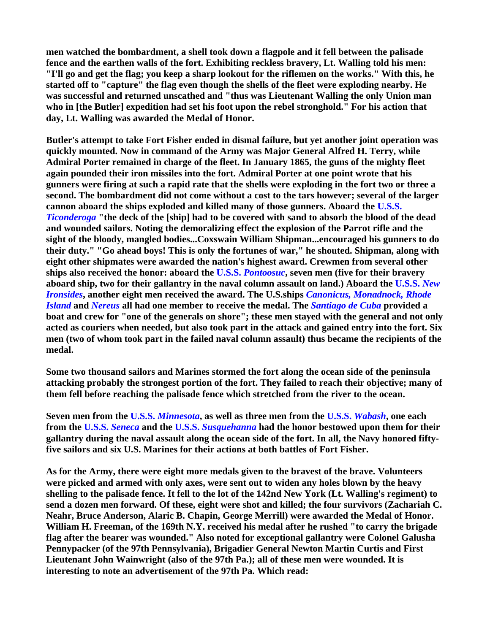**men watched the bombardment, a shell took down a flagpole and it fell between the palisade fence and the earthen walls of the fort. Exhibiting reckless bravery, Lt. Walling told his men: "I'll go and get the flag; you keep a sharp lookout for the riflemen on the works." With this, he started off to "capture" the flag even though the shells of the fleet were exploding nearby. He was successful and returned unscathed and "thus was Lieutenant Walling the only Union man who in [the Butler] expedition had set his foot upon the rebel stronghold." For his action that day, Lt. Walling was awarded the Medal of Honor.** 

**Butler's attempt to take Fort Fisher ended in dismal failure, but yet another joint operation was quickly mounted. Now in command of the Army was Major General Alfred H. Terry, while Admiral Porter remained in charge of the fleet. In January 1865, the guns of the mighty fleet again pounded their iron missiles into the fort. Admiral Porter at one point wrote that his gunners were firing at such a rapid rate that the shells were exploding in the fort two or three a second. The bombardment did not come without a cost to the tars however; several of the larger cannon aboard the ships exploded and killed many of those gunners. Aboard the U.S.S.** *Ticonderoga* **"the deck of the [ship] had to be covered with sand to absorb the blood of the dead and wounded sailors. Noting the demoralizing effect the explosion of the Parrot rifle and the sight of the bloody, mangled bodies...Coxswain William Shipman...encouraged his gunners to do their duty." "Go ahead boys! This is only the fortunes of war," he shouted. Shipman, along with eight other shipmates were awarded the nation's highest award. Crewmen from several other ships also received the honor: aboard the U.S.S.** *Pontoosuc***, seven men (five for their bravery aboard ship, two for their gallantry in the naval column assault on land.) Aboard the U.S.S.** *New Ironsides***, another eight men received the award. The U.S.ships** *Canonicus, Monadnock, Rhode Island* **and** *Nereus* **all had one member to receive the medal. The** *Santiago de Cuba* **provided a boat and crew for "one of the generals on shore"; these men stayed with the general and not only acted as couriers when needed, but also took part in the attack and gained entry into the fort. Six men (two of whom took part in the failed naval column assault) thus became the recipients of the medal.** 

**Some two thousand sailors and Marines stormed the fort along the ocean side of the peninsula attacking probably the strongest portion of the fort. They failed to reach their objective; many of them fell before reaching the palisade fence which stretched from the river to the ocean.** 

**Seven men from the U.S.S.** *Minnesota***, as well as three men from the U.S.S.** *Wabash***, one each from the U.S.S.** *Seneca* **and the U.S.S.** *Susquehanna* **had the honor bestowed upon them for their gallantry during the naval assault along the ocean side of the fort. In all, the Navy honored fiftyfive sailors and six U.S. Marines for their actions at both battles of Fort Fisher.** 

**As for the Army, there were eight more medals given to the bravest of the brave. Volunteers were picked and armed with only axes, were sent out to widen any holes blown by the heavy shelling to the palisade fence. It fell to the lot of the 142nd New York (Lt. Walling's regiment) to send a dozen men forward. Of these, eight were shot and killed; the four survivors (Zachariah C. Neahr, Bruce Anderson, Alaric B. Chapin, George Merrill) were awarded the Medal of Honor. William H. Freeman, of the 169th N.Y. received his medal after he rushed "to carry the brigade flag after the bearer was wounded." Also noted for exceptional gallantry were Colonel Galusha Pennypacker (of the 97th Pennsylvania), Brigadier General Newton Martin Curtis and First Lieutenant John Wainwright (also of the 97th Pa.); all of these men were wounded. It is interesting to note an advertisement of the 97th Pa. Which read:**